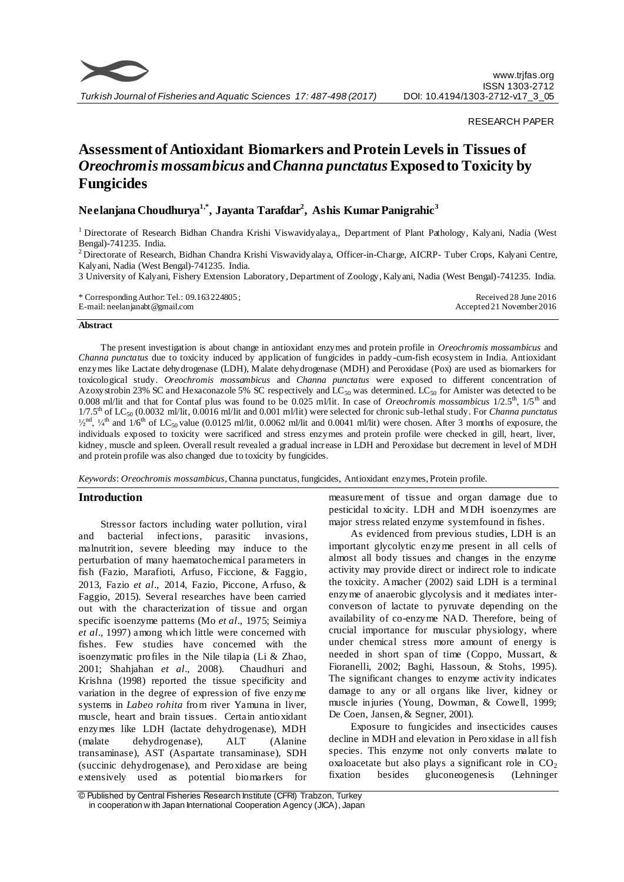

#### RESEARCH PAPER

# **Assessment of Antioxidant Biomarkers and Protein Levels in Tissues of**  *Oreochromis mossambicus* **and** *Channa punctatus***Exposed to Toxicity by Fungicides**

## **Neelanjana Choudhurya1,\*, Jayanta Tarafdar<sup>2</sup> , Ashis Kumar Panigrahic<sup>3</sup>**

<sup>1</sup> Directorate of Research Bidhan Chandra Krishi Viswavidyalaya,, Department of Plant Pathology, Kalyani, Nadia (West Bengal)-741235. India.

<sup>2</sup> Directorate of Research, Bidhan Chandra Krishi Viswavidyalaya, Officer-in-Charge, AICRP- Tuber Crops, Kalyani Centre, Kalyani, Nadia (West Bengal)-741235. India.

3 University of Kalyani, Fishery Extension Laboratory, Department of Zoology, Kalyani, Nadia (West Bengal)-741235. India.

\* Corresponding Author: Tel.: 09.163 224805 ; E-mail: neelanjanabt@gmail.com Received 28 June 2016 Accepted 21 November 2016

#### **Abstract**

The present investigation is about change in antioxidant enzymes and protein profile in *Oreochromis mossambicus* and *Channa punctatus* due to toxicity induced by application of fungicides in paddy -cum-fish ecosystem in India. Antioxidant enzymes like Lactate dehydrogenase (LDH), Malate dehydrogenase (MDH) and Peroxidase (Pox) are used as biomarkers for toxicological study. *Oreochromis mossambicus* and *Channa punctatus* were exposed to different concentration of Azoxystrobin 23% SC and Hexaconazole 5% SC respectively and  $LC_{50}$  was determined. LC<sub>50</sub> for Amister was detected to be 0.008 ml/lit and that for Contaf plus was found to be 0.025 ml/lit. In case of *Oreochromis mossambicus* 1/2.5th, 1/5th and 1/7.5th of LC<sup>50</sup> (0.0032 ml/lit, 0.0016 ml/lit and 0.001 ml/lit) were selected for chronic sub-lethal study. For *Channa punctatus*  $^{1/2}$ <sup>nd</sup>,  $^{1/4}$ <sup>th</sup> and  $1/6$ <sup>th</sup> of LC<sub>50</sub> value (0.0125 ml/lit, 0.0062 ml/lit and 0.0041 ml/lit) were chosen. After 3 months of exposure, the individuals exposed to toxicity were sacrificed and stress enzymes and protein profile were checked in gill, heart, liver, kidney, muscle and spleen. Overall result revealed a gradual increase in LDH and Peroxidase but decrement in level of MDH and protein profile was also changed due to toxicity by fungicides.

*Keywords*: *Oreochromis mossambicus*, Channa punctatus, fungicides, Antioxidant enzymes, Protein profile.

## **Introduction**

Stressor factors including water pollution, viral and bacterial infections, parasitic invasions, malnutrition, severe bleeding may induce to the perturbation of many haematochemical parameters in fish (Fazio, Marafioti, Arfuso, Ficcione, & Faggio, 2013, Fazio *et al*., 2014, Fazio, Piccone, Arfuso, & Faggio, 2015). Several researches have been carried out with the characterization of tissue and organ specific isoenzyme patterns (Mo *et al*., 1975; Seimiya *et al*., 1997) among which little were concerned with fishes. Few studies have concerned with the isoenzymatic profiles in the Nile tilapia (Li & Zhao, 2001; Shahjahan *et al*., 2008). Chaudhuri and Krishna (1998) reported the tissue specificity and variation in the degree of expression of five enzyme systems in *Labeo rohita* from river Yamuna in liver, muscle, heart and brain tissues. Certain antioxidant enzymes like LDH (lactate dehydrogenase), MDH (malate dehydrogenase), ALT (Alanine transaminase), AST (Aspartate transaminase), SDH (succinic dehydrogenase), and Peroxidase are being extensively used as potential biomarkers for

measurement of tissue and organ damage due to pesticidal toxicity. LDH and MDH isoenzymes are major stress related enzyme system found in fishes.

As evidenced from previous studies, LDH is an important glycolytic enzyme present in all cells of almost all body tissues and changes in the enzyme activity may provide direct or indirect role to indicate the toxicity. Amacher (2002) said LDH is a terminal enzyme of anaerobic glycolysis and it mediates interconverson of lactate to pyruvate depending on the availability of co-enzyme NAD. Therefore, being of crucial importance for muscular physiology, where under chemical stress more amount of energy is needed in short span of time (Coppo, Mussart, & Fioranelli, 2002; Baghi, Hassoun, & Stohs, 1995). The significant changes to enzyme activity indicates damage to any or all organs like liver, kidney or muscle injuries (Young, Dowman, & Cowell, 1999; De Coen, Jansen, & Segner, 2001).

Exposure to fungicides and insecticides causes decline in MDH and elevation in Peroxidase in all fish species. This enzyme not only converts malate to oxaloacetate but also plays a significant role in  $CO<sub>2</sub>$ fixation besides gluconeogenesis (Lehninger

<sup>©</sup> Published by Central Fisheries Research Institute (CFRI) Trabzon, Turkey in cooperation w ith Japan International Cooperation Agency (JICA), Japan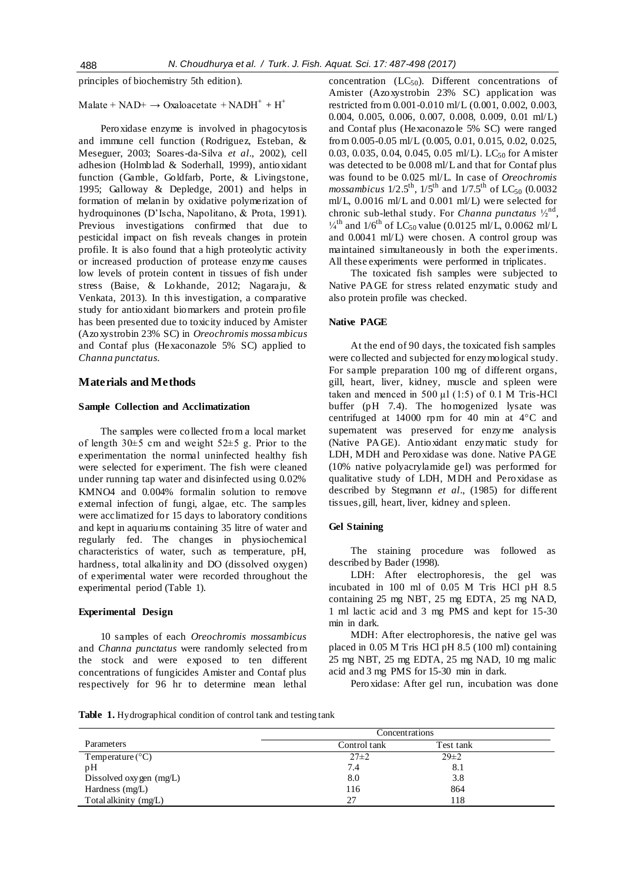principles of biochemistry 5th edition).

## Malate +  $NAD+$   $\rightarrow$  Oxaloacetate +  $NADH^{+}$  +  $H^{+}$

Peroxidase enzyme is involved in phagocytosis and immune cell function (Rodriguez, Esteban, & Meseguer, 2003; Soares-da-Silva *et al*., 2002), cell adhesion (Holmblad & Soderhall, 1999), antioxidant function (Gamble, Goldfarb, Porte, & Livingstone, 1995; Galloway & Depledge, 2001) and helps in formation of melanin by oxidative polymerization of hydroquinones (D'Ischa, Napolitano, & Prota, 1991). Previous investigations confirmed that due to pesticidal impact on fish reveals changes in protein profile. It is also found that a high proteolytic activity or increased production of protease enzyme causes low levels of protein content in tissues of fish under stress (Baise, & Lokhande, 2012; Nagaraju, & Venkata, 2013). In this investigation, a comparative study for antioxidant biomarkers and protein profile has been presented due to toxicity induced by Amister (Azoxystrobin 23% SC) in *Oreochromis mossambicus* and Contaf plus (Hexaconazole 5% SC) applied to *Channa punctatus*.

#### **Materials and Methods**

#### **Sample Collection and Acclimatization**

The samples were collected from a local market of length  $30\pm 5$  cm and weight  $52\pm 5$  g. Prior to the experimentation the normal uninfected healthy fish were selected for experiment. The fish were cleaned under running tap water and disinfected using 0.02% KMNO4 and 0.004% formalin solution to remove external infection of fungi, algae, etc. The samples were acclimatized for 15 days to laboratory conditions and kept in aquariums containing 35 litre of water and regularly fed. The changes in physiochemical characteristics of water, such as temperature, pH, hardness, total alkalinity and DO (dissolved oxygen) of experimental water were recorded throughout the experimental period (Table 1).

#### **Experimental Design**

10 samples of each *Oreochromis mossambicus* and *Channa punctatus* were randomly selected from the stock and were exposed to ten different concentrations of fungicides Amister and Contaf plus respectively for 96 hr to determine mean lethal concentration  $(LC_{50})$ . Different concentrations of Amister (Azoxystrobin 23% SC) application was restricted from 0.001-0.010 ml/L (0.001, 0.002, 0.003, 0.004, 0.005, 0.006, 0.007, 0.008, 0.009, 0.01 ml/L) and Contaf plus (Hexaconazole 5% SC) were ranged from 0.005-0.05 ml/L (0.005, 0.01, 0.015, 0.02, 0.025, 0.03, 0.035, 0.04, 0.045, 0.05 ml/L). LC<sub>50</sub> for Amister was detected to be 0.008 ml/L and that for Contaf plus was found to be 0.025 ml/L. In case of *Oreochromis mossambicus*  $1/2.5^{th}$ ,  $1/5^{th}$  and  $1/7.5^{th}$  of LC<sub>50</sub> (0.0032 ml/L, 0.0016 ml/L and 0.001 ml/L) were selected for chronic sub-lethal study. For *Channa punctatus*  $\frac{1}{2}$ <sup>nd</sup>,  $\frac{1}{4}$ <sup>th</sup> and  $\frac{1}{6}$ <sup>th</sup> of LC<sub>50</sub> value (0.0125 ml/L, 0.0062 ml/L and 0.0041 ml/L) were chosen. A control group was maintained simultaneously in both the experiments. All these experiments were performed in triplicates.

The toxicated fish samples were subjected to Native PAGE for stress related enzymatic study and also protein profile was checked.

#### **Native PAGE**

At the end of 90 days, the toxicated fish samples were collected and subjected for enzymological study. For sample preparation 100 mg of different organs, gill, heart, liver, kidney, muscle and spleen were taken and menced in  $500 \mu l$  (1:5) of 0.1 M Tris-HCl buffer (pH 7.4). The homogenized lysate was centrifuged at 14000 rpm for 40 min at 4°C and supernatent was preserved for enzyme analysis (Native PAGE). Antioxidant enzymatic study for LDH, MDH and Peroxidase was done. Native PAGE (10% native polyacrylamide gel) was performed for qualitative study of LDH, MDH and Peroxidase as described by Stegmann *et al*., (1985) for different tissues, gill, heart, liver, kidney and spleen.

#### **Gel Staining**

The staining procedure was followed as described by Bader (1998).

LDH: After electrophoresis, the gel was incubated in 100 ml of 0.05 M Tris HCl pH 8.5 containing 25 mg NBT, 25 mg EDTA, 25 mg NAD, 1 ml lactic acid and 3 mg PMS and kept for 15-30 min in dark.

MDH: After electrophoresis, the native gel was placed in 0.05 M Tris HCl pH 8.5 (100 ml) containing 25 mg NBT, 25 mg EDTA, 25 mg NAD, 10 mg malic acid and 3 mg PMS for 15-30 min in dark.

Peroxidase: After gel run, incubation was done

**Table 1.** Hydrographical condition of control tank and testing tank

|                           | Concentrations |            |  |
|---------------------------|----------------|------------|--|
| Parameters                | Control tank   | Test tank  |  |
| Temperature $(^{\circ}C)$ | $27\pm 2$      | $29 \pm 2$ |  |
| pH                        | 7.4            | 8.1        |  |
| Dissolved oxygen $(mg/L)$ | 8.0            | 3.8        |  |
| Hardness (mg/L)           | 116            | 864        |  |
| Total alkinity (mg/L)     | 27             | l 18       |  |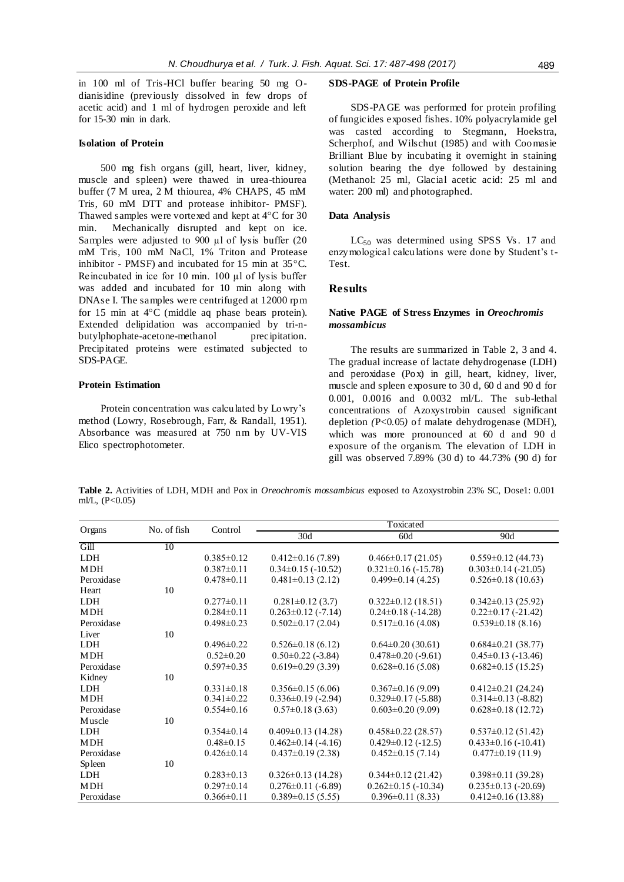in 100 ml of Tris-HCl buffer bearing 50 mg Odianisidine (previously dissolved in few drops of acetic acid) and 1 ml of hydrogen peroxide and left for 15-30 min in dark.

## **Isolation of Protein**

500 mg fish organs (gill, heart, liver, kidney, muscle and spleen) were thawed in urea-thiourea buffer (7 M urea, 2 M thiourea, 4% CHAPS, 45 mM Tris, 60 mM DTT and protease inhibitor- PMSF). Thawed samples were vortexed and kept at 4°C for 30 min. Mechanically disrupted and kept on ice. Samples were adjusted to 900 µl of lysis buffer (20 mM Tris, 100 mM NaCl, 1% Triton and Protease inhibitor - PMSF) and incubated for 15 min at 35°C. Reincubated in ice for 10 min. 100 µl of lysis buffer was added and incubated for 10 min along with DNAse I. The samples were centrifuged at 12000 rpm for 15 min at 4°C (middle aq phase bears protein). Extended delipidation was accompanied by tri-nbutylphophate-acetone-methanol precipitation. Precipitated proteins were estimated subjected to SDS-PAGE.

## **Protein Estimation**

Protein concentration was calculated by Lowry's method (Lowry, Rosebrough, Farr, & Randall, 1951). Absorbance was measured at 750 nm by UV-VIS Elico spectrophotometer.

#### **SDS-PAGE of Protein Profile**

SDS-PAGE was performed for protein profiling of fungicides exposed fishes. 10% polyacrylamide gel was casted according to Stegmann, Hoekstra, Scherphof, and Wilschut (1985) and with Coomasie Brilliant Blue by incubating it overnight in staining solution bearing the dye followed by destaining (Methanol: 25 ml, Glacial acetic acid: 25 ml and water: 200 ml) and photographed.

#### **Data Analysis**

 $LC_{50}$  was determined using SPSS Vs. 17 and enzymological calculations were done by Student's t-Test.

## **Results**

## **Native PAGE of Stress Enzymes in** *Oreochromis mossambicus*

The results are summarized in Table 2, 3 and 4. The gradual increase of lactate dehydrogenase (LDH) and peroxidase (Pox) in gill, heart, kidney, liver, muscle and spleen exposure to 30 d, 60 d and 90 d for 0.001, 0.0016 and 0.0032 ml/L. The sub-lethal concentrations of Azoxystrobin caused significant depletion *(*P<0.05*)* of malate dehydrogenase (MDH), which was more pronounced at 60 d and 90 d exposure of the organism. The elevation of LDH in gill was observed 7.89% (30 d) to 44.73% (90 d) for

**Table 2.** Activities of LDH, MDH and Pox in *Oreochromis mossambicus* exposed to Azoxystrobin 23% SC, Dose1: 0.001 ml/L,  $(P<0.05)$ 

| Organs     | No. of fish | Control          | Toxicated                |                           |                           |
|------------|-------------|------------------|--------------------------|---------------------------|---------------------------|
|            |             |                  | 30d                      | 60d                       | 90d                       |
| Gill       | 10          |                  |                          |                           |                           |
| <b>LDH</b> |             | $0.385 \pm 0.12$ | $0.412 \pm 0.16$ (7.89)  | $0.466 \pm 0.17$ (21.05)  | $0.559 \pm 0.12$ (44.73)  |
| MDH        |             | $0.387 \pm 0.11$ | $0.34\pm0.15$ (-10.52)   | $0.321 \pm 0.16$ (-15.78) | $0.303 \pm 0.14$ (-21.05) |
| Peroxidase |             | $0.478 \pm 0.11$ | $0.481 \pm 0.13$ (2.12)  | $0.499 \pm 0.14$ (4.25)   | $0.526 \pm 0.18$ (10.63)  |
| Heart      | 10          |                  |                          |                           |                           |
| <b>LDH</b> |             | $0.277 \pm 0.11$ | $0.281 \pm 0.12$ (3.7)   | $0.322 \pm 0.12$ (18.51)  | $0.342 \pm 0.13$ (25.92)  |
| MDH        |             | $0.284 \pm 0.11$ | $0.263 \pm 0.12$ (-7.14) | $0.24 \pm 0.18$ (-14.28)  | $0.22 \pm 0.17$ (-21.42)  |
| Peroxidase |             | $0.498 \pm 0.23$ | $0.502 \pm 0.17$ (2.04)  | $0.517 \pm 0.16$ (4.08)   | $0.539 \pm 0.18$ (8.16)   |
| Liver      | 10          |                  |                          |                           |                           |
| <b>LDH</b> |             | $0.496 \pm 0.22$ | $0.526 \pm 0.18$ (6.12)  | $0.64 \pm 0.20$ (30.61)   | $0.684 \pm 0.21$ (38.77)  |
| MDH        |             | $0.52 \pm 0.20$  | $0.50\pm0.22$ (-3.84)    | $0.478 \pm 0.20$ (-9.61)  | $0.45 \pm 0.13$ (-13.46)  |
| Peroxidase |             | $0.597 \pm 0.35$ | $0.619 \pm 0.29$ (3.39)  | $0.628 \pm 0.16$ (5.08)   | $0.682 \pm 0.15$ (15.25)  |
| Kidney     | 10          |                  |                          |                           |                           |
| <b>LDH</b> |             | $0.331 \pm 0.18$ | $0.356 \pm 0.15(6.06)$   | $0.367 \pm 0.16$ (9.09)   | $0.412 \pm 0.21$ (24.24)  |
| MDH        |             | $0.341 \pm 0.22$ | $0.336 \pm 0.19$ (-2.94) | $0.329 \pm 0.17$ (-5.88)  | $0.314 \pm 0.13$ (-8.82)  |
| Peroxidase |             | $0.554 \pm 0.16$ | $0.57\pm0.18$ (3.63)     | $0.603 \pm 0.20$ (9.09)   | $0.628 \pm 0.18$ (12.72)  |
| Muscle     | 10          |                  |                          |                           |                           |
| <b>LDH</b> |             | $0.354 \pm 0.14$ | $0.409 \pm 0.13$ (14.28) | $0.458 \pm 0.22$ (28.57)  | $0.537 \pm 0.12$ (51.42)  |
| MDH        |             | $0.48 \pm 0.15$  | $0.462 \pm 0.14$ (-4.16) | $0.429 \pm 0.12$ (-12.5)  | $0.433 \pm 0.16$ (-10.41) |
| Peroxidase |             | $0.426 \pm 0.14$ | $0.437 \pm 0.19$ (2.38)  | $0.452 \pm 0.15(7.14)$    | $0.477 \pm 0.19$ (11.9)   |
| Spleen     | 10          |                  |                          |                           |                           |
| <b>LDH</b> |             | $0.283 \pm 0.13$ | $0.326 \pm 0.13$ (14.28) | $0.344\pm0.12(21.42)$     | $0.398 \pm 0.11$ (39.28)  |
| <b>MDH</b> |             | $0.297 \pm 0.14$ | $0.276 \pm 0.11$ (-6.89) | $0.262 \pm 0.15$ (-10.34) | $0.235 \pm 0.13$ (-20.69) |
| Peroxidase |             | $0.366 \pm 0.11$ | $0.389 \pm 0.15$ (5.55)  | $0.396 \pm 0.11$ (8.33)   | $0.412 \pm 0.16$ (13.88)  |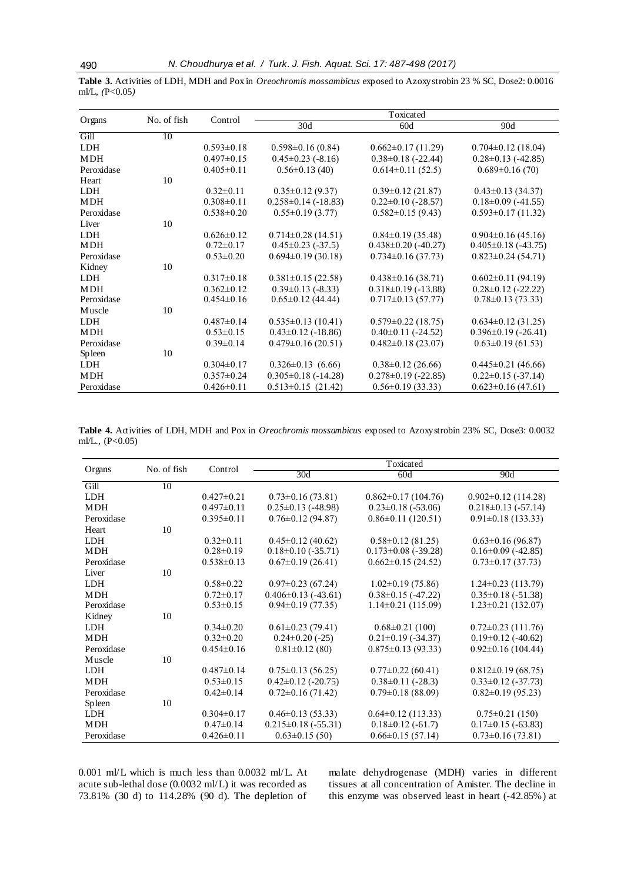|                  | <b>Table 3.</b> Activities of LDH, MDH and Pox in <i>Oreochromis mossambicus</i> exposed to Azoxystrobin 23 % SC, Dose2: 0.0016 |  |  |  |
|------------------|---------------------------------------------------------------------------------------------------------------------------------|--|--|--|
| ml/L, $(P<0.05)$ |                                                                                                                                 |  |  |  |
|                  |                                                                                                                                 |  |  |  |

| Organs     | No. of fish | Control          | Toxicated                 |                           |                           |  |
|------------|-------------|------------------|---------------------------|---------------------------|---------------------------|--|
|            |             |                  | 30d                       | 60d                       | 90d                       |  |
| Gill       | 10          |                  |                           |                           |                           |  |
| LDH        |             | $0.593 \pm 0.18$ | $0.598 \pm 0.16$ (0.84)   | $0.662 \pm 0.17$ (11.29)  | $0.704 \pm 0.12$ (18.04)  |  |
| <b>MDH</b> |             | $0.497 \pm 0.15$ | $0.45 \pm 0.23$ (-8.16)   | $0.38 \pm 0.18$ (-22.44)  | $0.28 \pm 0.13$ (-42.85)  |  |
| Peroxidase |             | $0.405 \pm 0.11$ | $0.56 \pm 0.13(40)$       | $0.614\pm0.11(52.5)$      | $0.689 \pm 0.16(70)$      |  |
| Heart      | 10          |                  |                           |                           |                           |  |
| LDH.       |             | $0.32 \pm 0.11$  | $0.35 \pm 0.12$ (9.37)    | $0.39\pm0.12$ (21.87)     | $0.43 \pm 0.13$ (34.37)   |  |
| <b>MDH</b> |             | $0.308 \pm 0.11$ | $0.258 \pm 0.14$ (-18.83) | $0.22 \pm 0.10$ (-28.57)  | $0.18 \pm 0.09$ (-41.55)  |  |
| Peroxidase |             | $0.538 \pm 0.20$ | $0.55 \pm 0.19$ (3.77)    | $0.582 \pm 0.15$ (9.43)   | $0.593 \pm 0.17(11.32)$   |  |
| Liver      | 10          |                  |                           |                           |                           |  |
| <b>LDH</b> |             | $0.626 \pm 0.12$ | $0.714 \pm 0.28$ (14.51)  | $0.84\pm0.19(35.48)$      | $0.904 \pm 0.16$ (45.16)  |  |
| MDH        |             | $0.72 \pm 0.17$  | $0.45 \pm 0.23$ (-37.5)   | $0.438 \pm 0.20$ (-40.27) | $0.405 \pm 0.18$ (-43.75) |  |
| Peroxidase |             | $0.53 \pm 0.20$  | $0.694 \pm 0.19$ (30.18)  | $0.734 \pm 0.16$ (37.73)  | $0.823 \pm 0.24$ (54.71)  |  |
| Kidney     | 10          |                  |                           |                           |                           |  |
| <b>LDH</b> |             | $0.317 \pm 0.18$ | $0.381 \pm 0.15$ (22.58)  | $0.438 \pm 0.16$ (38.71)  | $0.602 \pm 0.11$ (94.19)  |  |
| <b>MDH</b> |             | $0.362 \pm 0.12$ | $0.39\pm0.13$ (-8.33)     | $0.318 \pm 0.19$ (-13.88) | $0.28 \pm 0.12$ (-22.22)  |  |
| Peroxidase |             | $0.454 \pm 0.16$ | $0.65 \pm 0.12$ (44.44)   | $0.717 \pm 0.13$ (57.77)  | $0.78 \pm 0.13(73.33)$    |  |
| Muscle     | 10          |                  |                           |                           |                           |  |
| <b>LDH</b> |             | $0.487 \pm 0.14$ | $0.535 \pm 0.13$ (10.41)  | $0.579 \pm 0.22$ (18.75)  | $0.634 \pm 0.12$ (31.25)  |  |
| <b>MDH</b> |             | $0.53 \pm 0.15$  | $0.43\pm0.12$ (-18.86)    | $0.40\pm0.11$ (-24.52)    | $0.396 \pm 0.19$ (-26.41) |  |
| Peroxidase |             | $0.39 \pm 0.14$  | $0.479 \pm 0.16$ (20.51)  | $0.482 \pm 0.18$ (23.07)  | $0.63 \pm 0.19$ (61.53)   |  |
| Spleen     | 10          |                  |                           |                           |                           |  |
| <b>LDH</b> |             | $0.304 \pm 0.17$ | $0.326 \pm 0.13$ (6.66)   | $0.38\pm0.12(26.66)$      | $0.445 \pm 0.21$ (46.66)  |  |
| <b>MDH</b> |             | $0.357 \pm 0.24$ | $0.305 \pm 0.18$ (-14.28) | $0.278 \pm 0.19$ (-22.85) | $0.22 \pm 0.15$ (-37.14)  |  |
| Peroxidase |             | $0.426 \pm 0.11$ | $0.513 \pm 0.15$ (21.42)  | $0.56 \pm 0.19$ (33.33)   | $0.623 \pm 0.16$ (47.61)  |  |

**Table 4.** Activities of LDH, MDH and Pox in *Oreochromis mossambicus* exposed to Azoxystrobin 23% SC, Dose3: 0.0032 ml/L*.,* (P<0.05)

| Organs     | No. of fish | Control          | Toxicated                 |                           |                           |  |
|------------|-------------|------------------|---------------------------|---------------------------|---------------------------|--|
|            |             |                  | 30 <sub>d</sub>           | 60d                       | 90d                       |  |
| Gill       | 10          |                  |                           |                           |                           |  |
| <b>LDH</b> |             | $0.427 \pm 0.21$ | $0.73 \pm 0.16$ (73.81)   | $0.862 \pm 0.17$ (104.76) | $0.902 \pm 0.12$ (114.28) |  |
| <b>MDH</b> |             | $0.497 \pm 0.11$ | $0.25 \pm 0.13$ (-48.98)  | $0.23 \pm 0.18$ (-53.06)  | $0.218 \pm 0.13$ (-57.14) |  |
| Peroxidase |             | $0.395\pm0.11$   | $0.76 \pm 0.12$ (94.87)   | $0.86 \pm 0.11$ (120.51)  | $0.91 \pm 0.18$ (133.33)  |  |
| Heart      | 10          |                  |                           |                           |                           |  |
| <b>LDH</b> |             | $0.32 \pm 0.11$  | $0.45 \pm 0.12$ (40.62)   | $0.58 \pm 0.12$ (81.25)   | $0.63 \pm 0.16$ (96.87)   |  |
| <b>MDH</b> |             | $0.28 \pm 0.19$  | $0.18\pm0.10$ (-35.71)    | $0.173 \pm 0.08$ (-39.28) | $0.16 \pm 0.09$ (-42.85)  |  |
| Peroxidase |             | $0.538 \pm 0.13$ | $0.67\pm0.19(26.41)$      | $0.662 \pm 0.15(24.52)$   | $0.73 \pm 0.17$ (37.73)   |  |
| Liver      | 10          |                  |                           |                           |                           |  |
| <b>LDH</b> |             | $0.58 \pm 0.22$  | $0.97 \pm 0.23$ (67.24)   | $1.02 \pm 0.19$ (75.86)   | $1.24 \pm 0.23$ (113.79)  |  |
| <b>MDH</b> |             | $0.72 \pm 0.17$  | $0.406 \pm 0.13$ (-43.61) | $0.38\pm0.15$ (-47.22)    | $0.35 \pm 0.18$ (-51.38)  |  |
| Peroxidase |             | $0.53 \pm 0.15$  | $0.94\pm0.19(77.35)$      | $1.14\pm0.21(115.09)$     | $1.23 \pm 0.21$ (132.07)  |  |
| Kidney     | 10          |                  |                           |                           |                           |  |
| <b>LDH</b> |             | $0.34 \pm 0.20$  | $0.61 \pm 0.23$ (79.41)   | $0.68 \pm 0.21$ (100)     | $0.72 \pm 0.23$ (111.76)  |  |
| <b>MDH</b> |             | $0.32 \pm 0.20$  | $0.24 \pm 0.20$ (-25)     | $0.21 \pm 0.19$ (-34.37)  | $0.19\pm0.12$ (-40.62)    |  |
| Peroxidase |             | $0.454 \pm 0.16$ | $0.81 \pm 0.12$ (80)      | $0.875 \pm 0.13$ (93.33)  | $0.92\pm0.16(104.44)$     |  |
| Muscle     | 10          |                  |                           |                           |                           |  |
| <b>LDH</b> |             | $0.487 \pm 0.14$ | $0.75 \pm 0.13$ (56.25)   | $0.77 \pm 0.22$ (60.41)   | $0.812 \pm 0.19$ (68.75)  |  |
| <b>MDH</b> |             | $0.53 \pm 0.15$  | $0.42 \pm 0.12$ (-20.75)  | $0.38\pm0.11$ (-28.3)     | $0.33 \pm 0.12$ (-37.73)  |  |
| Peroxidase |             | $0.42 \pm 0.14$  | $0.72 \pm 0.16$ (71.42)   | $0.79 \pm 0.18$ (88.09)   | $0.82\pm0.19$ (95.23)     |  |
| Spleen     | 10          |                  |                           |                           |                           |  |
| LDH.       |             | $0.304\pm0.17$   | $0.46 \pm 0.13$ (53.33)   | $0.64 \pm 0.12$ (113.33)  | $0.75 \pm 0.21$ (150)     |  |
| <b>MDH</b> |             | $0.47 \pm 0.14$  | $0.215 \pm 0.18$ (-55.31) | $0.18\pm0.12$ (-61.7)     | $0.17\pm0.15$ (-63.83)    |  |
| Peroxidase |             | $0.426 \pm 0.11$ | $0.63 \pm 0.15(50)$       | $0.66 \pm 0.15(57.14)$    | $0.73 \pm 0.16$ (73.81)   |  |

0.001 ml/L which is much less than 0.0032 ml/L. At acute sub-lethal dose (0.0032 ml/L) it was recorded as 73.81% (30 d) to 114.28% (90 d). The depletion of malate dehydrogenase (MDH) varies in different tissues at all concentration of Amister. The decline in this enzyme was observed least in heart (-42.85%) at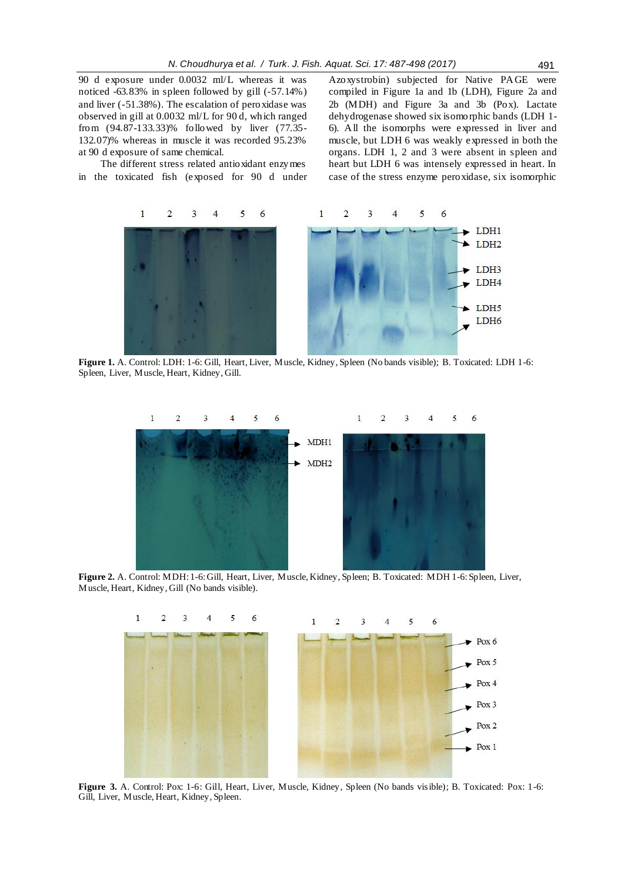90 d exposure under 0.0032 ml/L whereas it was noticed -63.83% in spleen followed by gill (-57.14%) and liver (-51.38%). The escalation of peroxidase was observed in gill at 0.0032 ml/L for 90 d, which ranged from (94.87-133.33)% followed by liver (77.35- 132.07)% whereas in muscle it was recorded 95.23% at 90 d exposure of same chemical.

The different stress related antioxidant enzymes in the toxicated fish (exposed for 90 d under

Azoxystrobin) subjected for Native PAGE were compiled in Figure 1a and 1b (LDH), Figure 2a and 2b (MDH) and Figure 3a and 3b (Pox). Lactate dehydrogenase showed six isomorphic bands (LDH 1- 6). All the isomorphs were expressed in liver and muscle, but LDH 6 was weakly expressed in both the organs. LDH 1, 2 and 3 were absent in spleen and heart but LDH 6 was intensely expressed in heart. In case of the stress enzyme peroxidase, six isomorphic



 **Figure 1.** A. Control: LDH: 1-6: Gill, Heart, Liver, Muscle, Kidney, Spleen (No bands visible); B. Toxicated: LDH 1-6: Spleen, Liver, Muscle, Heart, Kidney, Gill.



**Figure 2.** A. Control: MDH: 1-6: Gill, Heart, Liver, Muscle, Kidney, Spleen; B. Toxicated: MDH 1-6: Spleen, Liver, Muscle, Heart, Kidney, Gill (No bands visible).



Gill, Liver, Muscle, Heart, Kidney, Spleen.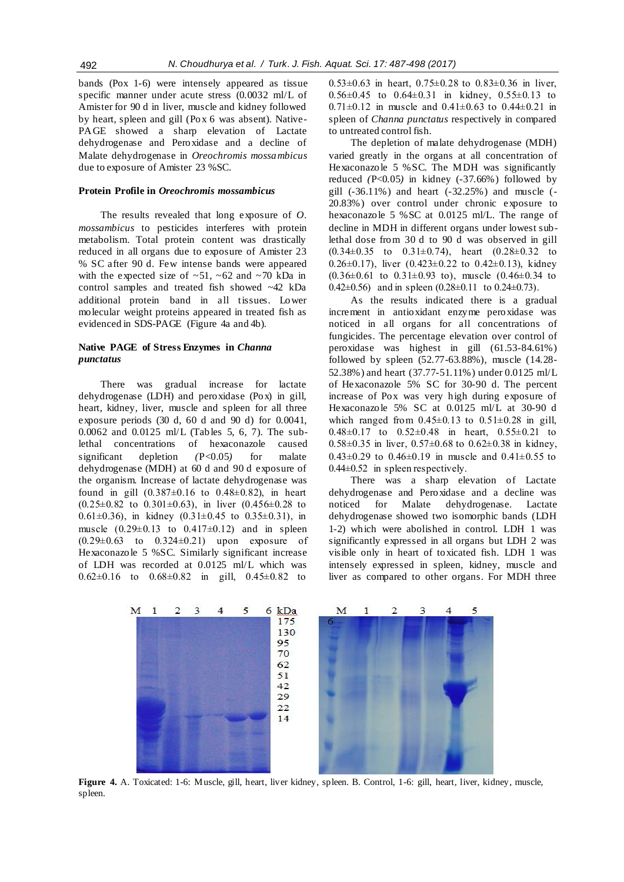bands (Pox 1-6) were intensely appeared as tissue specific manner under acute stress (0.0032 ml/L of Amister for 90 d in liver, muscle and kidney followed by heart, spleen and gill (Pox 6 was absent). Native-PAGE showed a sharp elevation of Lactate dehydrogenase and Peroxidase and a decline of Malate dehydrogenase in *Oreochromis mossambicus* due to exposure of Amister 23 %SC.

#### **Protein Profile in** *Oreochromis mossambicus*

The results revealed that long exposure of *O. mossambicus* to pesticides interferes with protein metabolism. Total protein content was drastically reduced in all organs due to exposure of Amister 23 % SC after 90 d. Few intense bands were appeared with the expected size of  $~51,~52$  and  $~70$  kDa in control samples and treated fish showed ~42 kDa additional protein band in all tissues. Lower molecular weight proteins appeared in treated fish as evidenced in SDS-PAGE (Figure 4a and 4b).

#### **Native PAGE of Stress Enzymes in** *Channa punctatus*

There was gradual increase for lactate dehydrogenase (LDH) and peroxidase (Pox) in gill, heart, kidney, liver, muscle and spleen for all three exposure periods (30 d, 60 d and 90 d) for 0.0041, 0.0062 and 0.0125 ml/L (Tables 5, 6, 7). The sublethal concentrations of hexaconazole caused significant depletion *(*P<0.05*)* for malate dehydrogenase (MDH) at 60 d and 90 d exposure of the organism. Increase of lactate dehydrogenase was found in gill  $(0.387 \pm 0.16$  to  $0.48 \pm 0.82)$ , in heart  $(0.25\pm0.82 \text{ to } 0.301\pm0.63)$ , in liver  $(0.456\pm0.28 \text{ to } 0.301\pm0.63)$ 0.61 $\pm$ 0.36), in kidney (0.31 $\pm$ 0.45 to 0.35 $\pm$ 0.31), in muscle  $(0.29 \pm 0.13)$  to  $0.417 \pm 0.12$  and in spleen  $(0.29 \pm 0.63 \text{ to } 0.324 \pm 0.21)$  upon exposure of Hexaconazole 5 %SC. Similarly significant increase of LDH was recorded at 0.0125 ml/L which was 0.62±0.16 to 0.68±0.82 in gill, 0.45±0.82 to

0.53 $\pm$ 0.63 in heart, 0.75 $\pm$ 0.28 to 0.83 $\pm$ 0.36 in liver, 0.56±0.45 to 0.64±0.31 in kidney, 0.55±0.13 to 0.71 $\pm$ 0.12 in muscle and 0.41 $\pm$ 0.63 to 0.44 $\pm$ 0.21 in spleen of *Channa punctatus* respectively in compared to untreated control fish.

The depletion of malate dehydrogenase (MDH) varied greatly in the organs at all concentration of Hexaconazole 5 %SC. The MDH was significantly reduced  $(P<0.05)$  in kidney  $(-37.66%)$  followed by gill (-36.11%) and heart (-32.25%) and muscle (- 20.83%) over control under chronic exposure to hexaconazole 5 %SC at 0.0125 ml/L. The range of decline in MDH in different organs under lowest sublethal dose from 30 d to 90 d was observed in gill  $(0.34\pm0.35 \text{ to } 0.31\pm0.74)$ , heart  $(0.28\pm0.32 \text{ to } 0.31\pm0.74)$ 0.26 $\pm$ 0.17), liver (0.423 $\pm$ 0.22 to 0.42 $\pm$ 0.13), kidney  $(0.36\pm0.61$  to  $0.31\pm0.93$  to), muscle  $(0.46\pm0.34$  to 0.42 $\pm$ 0.56) and in spleen (0.28 $\pm$ 0.11 to 0.24 $\pm$ 0.73).

As the results indicated there is a gradual increment in antioxidant enzyme peroxidase was noticed in all organs for all concentrations of fungicides. The percentage elevation over control of peroxidase was highest in gill (61.53-84.61%) followed by spleen (52.77-63.88%), muscle (14.28- 52.38%) and heart (37.77-51.11%) under 0.0125 ml/L of Hexaconazole 5% SC for 30-90 d. The percent increase of Pox was very high during exposure of Hexaconazole 5% SC at 0.0125 ml/L at 30-90 d which ranged from  $0.45\pm0.13$  to  $0.51\pm0.28$  in gill,  $0.48\pm0.17$  to  $0.52\pm0.48$  in heart,  $0.55\pm0.21$  to  $0.58\pm0.35$  in liver,  $0.57\pm0.68$  to  $0.62\pm0.38$  in kidney, 0.43 $\pm$ 0.29 to 0.46 $\pm$ 0.19 in muscle and 0.41 $\pm$ 0.55 to 0.44±0.52 in spleen respectively.

There was a sharp elevation of Lactate dehydrogenase and Peroxidase and a decline was noticed for Malate dehydrogenase. Lactate dehydrogenase showed two isomorphic bands (LDH 1-2) which were abolished in control. LDH 1 was significantly expressed in all organs but LDH 2 was visible only in heart of toxicated fish. LDH 1 was intensely expressed in spleen, kidney, muscle and liver as compared to other organs. For MDH three



**Figure 4.** A. Toxicated: 1-6: Muscle, gill, heart, liver kidney, spleen. B. Control, 1-6: gill, heart, liver, kidney, muscle, spleen.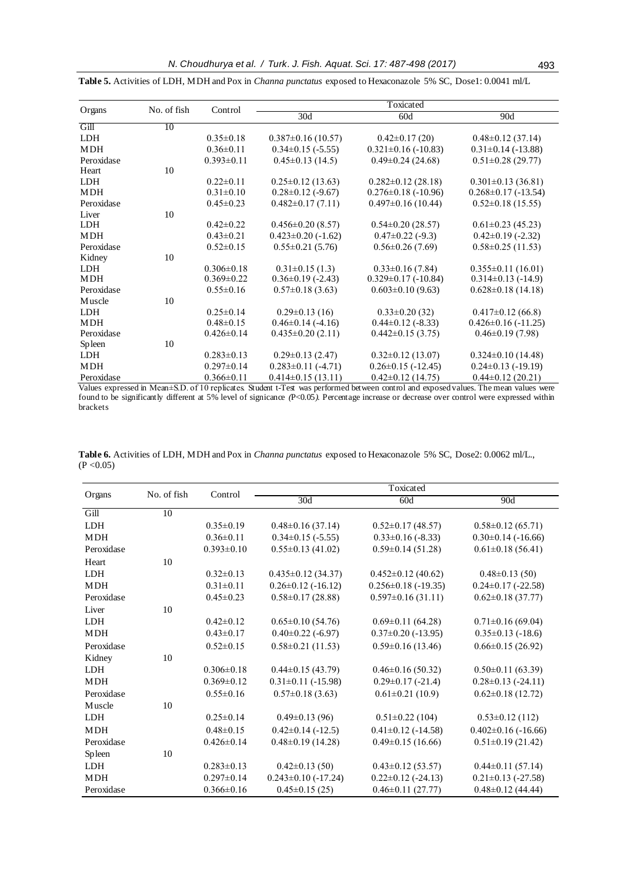| Organs     | No. of fish | Control          | Toxicated                |                           |                           |  |
|------------|-------------|------------------|--------------------------|---------------------------|---------------------------|--|
|            |             |                  | 30d                      | 60d                       | 90d                       |  |
| Gill       | 10          |                  |                          |                           |                           |  |
| <b>LDH</b> |             | $0.35 \pm 0.18$  | $0.387 \pm 0.16$ (10.57) | $0.42 \pm 0.17(20)$       | $0.48 \pm 0.12$ (37.14)   |  |
| <b>MDH</b> |             | $0.36 \pm 0.11$  | $0.34\pm0.15$ (-5.55)    | $0.321 \pm 0.16$ (-10.83) | $0.31 \pm 0.14$ (-13.88)  |  |
| Peroxidase |             | $0.393 \pm 0.11$ | $0.45 \pm 0.13$ (14.5)   | $0.49 \pm 0.24$ (24.68)   | $0.51 \pm 0.28$ (29.77)   |  |
| Heart      | 10          |                  |                          |                           |                           |  |
| <b>LDH</b> |             | $0.22 \pm 0.11$  | $0.25 \pm 0.12$ (13.63)  | $0.282 \pm 0.12$ (28.18)  | $0.301 \pm 0.13$ (36.81)  |  |
| <b>MDH</b> |             | $0.31 \pm 0.10$  | $0.28 \pm 0.12$ (-9.67)  | $0.276 \pm 0.18$ (-10.96) | $0.268 \pm 0.17$ (-13.54) |  |
| Peroxidase |             | $0.45 \pm 0.23$  | $0.482 \pm 0.17(7.11)$   | $0.497 \pm 0.16$ (10.44)  | $0.52 \pm 0.18$ (15.55)   |  |
| Liver      | 10          |                  |                          |                           |                           |  |
| LDH.       |             | $0.42 \pm 0.22$  | $0.456 \pm 0.20$ (8.57)  | $0.54 \pm 0.20$ (28.57)   | $0.61 \pm 0.23$ (45.23)   |  |
| MDH        |             | $0.43 \pm 0.21$  | $0.423 \pm 0.20$ (-1.62) | $0.47 \pm 0.22$ (-9.3)    | $0.42\pm0.19$ (-2.32)     |  |
| Peroxidase |             | $0.52 \pm 0.15$  | $0.55 \pm 0.21$ (5.76)   | $0.56 \pm 0.26$ (7.69)    | $0.58 \pm 0.25$ (11.53)   |  |
| Kidney     | 10          |                  |                          |                           |                           |  |
| <b>LDH</b> |             | $0.306 \pm 0.18$ | $0.31 \pm 0.15$ (1.3)    | $0.33\pm0.16(7.84)$       | $0.355 \pm 0.11$ (16.01)  |  |
| MDH        |             | $0.369 \pm 0.22$ | $0.36\pm0.19$ (-2.43)    | $0.329 \pm 0.17$ (-10.84) | $0.314\pm0.13$ (-14.9)    |  |
| Peroxidase |             | $0.55 \pm 0.16$  | $0.57 \pm 0.18$ (3.63)   | $0.603 \pm 0.10$ (9.63)   | $0.628 \pm 0.18$ (14.18)  |  |
| Muscle     | 10          |                  |                          |                           |                           |  |
| <b>LDH</b> |             | $0.25 \pm 0.14$  | $0.29 \pm 0.13$ (16)     | $0.33 \pm 0.20$ (32)      | $0.417 \pm 0.12$ (66.8)   |  |
| <b>MDH</b> |             | $0.48 \pm 0.15$  | $0.46\pm0.14$ (-4.16)    | $0.44\pm0.12$ (-8.33)     | $0.426 \pm 0.16$ (-11.25) |  |
| Peroxidase |             | $0.426 \pm 0.14$ | $0.435 \pm 0.20$ (2.11)  | $0.442 \pm 0.15$ (3.75)   | $0.46\pm0.19(7.98)$       |  |
| Spleen     | 10          |                  |                          |                           |                           |  |
| LDH.       |             | $0.283 \pm 0.13$ | $0.29 \pm 0.13$ (2.47)   | $0.32 \pm 0.12$ (13.07)   | $0.324 \pm 0.10$ (14.48)  |  |
| <b>MDH</b> |             | $0.297 \pm 0.14$ | $0.283 \pm 0.11$ (-4.71) | $0.26 \pm 0.15$ (-12.45)  | $0.24 \pm 0.13$ (-19.19)  |  |
| Peroxidase |             | $0.366 \pm 0.11$ | $0.414\pm0.15(13.11)$    | $0.42 \pm 0.12$ (14.75)   | $0.44\pm0.12(20.21)$      |  |

**Table 5.** Activities of LDH, MDH and Pox in *Channa punctatus* exposed to Hexaconazole 5% SC, Dose1: 0.0041 ml/L

Values expressed in Mean±S.D. of 10 replicates. Student t-Test was performed between control and exposed values. The mean values were found to be significantly different at 5% level of signicance *(*P<0.05*).* Percentage increase or decrease over control were expressed within brackets

|            | No. of fish | Control          | Toxicated                 |                           |                           |  |
|------------|-------------|------------------|---------------------------|---------------------------|---------------------------|--|
| Organs     |             |                  | 30d                       | 60d                       | 90d                       |  |
| Gill       | 10          |                  |                           |                           |                           |  |
| <b>LDH</b> |             | $0.35 \pm 0.19$  | $0.48 \pm 0.16$ (37.14)   | $0.52 \pm 0.17$ (48.57)   | $0.58 \pm 0.12$ (65.71)   |  |
| <b>MDH</b> |             | $0.36 \pm 0.11$  | $0.34\pm0.15$ (-5.55)     | $0.33\pm0.16$ (-8.33)     | $0.30\pm0.14$ (-16.66)    |  |
| Peroxidase |             | $0.393 \pm 0.10$ | $0.55 \pm 0.13$ (41.02)   | $0.59 \pm 0.14$ (51.28)   | $0.61 \pm 0.18$ (56.41)   |  |
| Heart      | 10          |                  |                           |                           |                           |  |
| <b>LDH</b> |             | $0.32 \pm 0.13$  | $0.435 \pm 0.12$ (34.37)  | $0.452 \pm 0.12$ (40.62)  | $0.48\pm0.13(50)$         |  |
| <b>MDH</b> |             | $0.31 \pm 0.11$  | $0.26 \pm 0.12$ (-16.12)  | $0.256 \pm 0.18$ (-19.35) | $0.24 \pm 0.17$ (-22.58)  |  |
| Peroxidase |             | $0.45 \pm 0.23$  | $0.58 \pm 0.17$ (28.88)   | $0.597 \pm 0.16$ (31.11)  | $0.62 \pm 0.18$ (37.77)   |  |
| Liver      | 10          |                  |                           |                           |                           |  |
| <b>LDH</b> |             | $0.42 \pm 0.12$  | $0.65 \pm 0.10$ (54.76)   | $0.69 \pm 0.11(64.28)$    | $0.71 \pm 0.16$ (69.04)   |  |
| <b>MDH</b> |             | $0.43 \pm 0.17$  | $0.40\pm0.22$ (-6.97)     | $0.37 \pm 0.20$ (-13.95)  | $0.35\pm0.13$ (-18.6)     |  |
| Peroxidase |             | $0.52 \pm 0.15$  | $0.58 \pm 0.21$ (11.53)   | $0.59 \pm 0.16$ (13.46)   | $0.66 \pm 0.15$ (26.92)   |  |
| Kidney     | 10          |                  |                           |                           |                           |  |
| <b>LDH</b> |             | $0.306 \pm 0.18$ | $0.44\pm0.15(43.79)$      | $0.46 \pm 0.16$ (50.32)   | $0.50\pm0.11(63.39)$      |  |
| <b>MDH</b> |             | $0.369 \pm 0.12$ | $0.31 \pm 0.11$ (-15.98)  | $0.29 \pm 0.17$ (-21.4)   | $0.28 \pm 0.13$ (-24.11)  |  |
| Peroxidase |             | $0.55 \pm 0.16$  | $0.57 \pm 0.18$ (3.63)    | $0.61 \pm 0.21$ (10.9)    | $0.62 \pm 0.18$ (12.72)   |  |
| Muscle     | 10          |                  |                           |                           |                           |  |
| <b>LDH</b> |             | $0.25 \pm 0.14$  | $0.49\pm0.13(96)$         | $0.51 \pm 0.22$ (104)     | $0.53 \pm 0.12$ (112)     |  |
| <b>MDH</b> |             | $0.48 \pm 0.15$  | $0.42\pm0.14$ (-12.5)     | $0.41 \pm 0.12$ (-14.58)  | $0.402 \pm 0.16$ (-16.66) |  |
| Peroxidase |             | $0.426 \pm 0.14$ | $0.48\pm0.19$ (14.28)     | $0.49\pm0.15(16.66)$      | $0.51 \pm 0.19$ (21.42)   |  |
| Spleen     | 10          |                  |                           |                           |                           |  |
| <b>LDH</b> |             | $0.283 \pm 0.13$ | $0.42\pm0.13(50)$         | $0.43\pm0.12(53.57)$      | $0.44\pm0.11(57.14)$      |  |
| <b>MDH</b> |             | $0.297 \pm 0.14$ | $0.243 \pm 0.10$ (-17.24) | $0.22 \pm 0.12$ (-24.13)  | $0.21 \pm 0.13$ (-27.58)  |  |
| Peroxidase |             | $0.366 \pm 0.16$ | $0.45 \pm 0.15(25)$       | $0.46 \pm 0.11(27.77)$    | $0.48 \pm 0.12$ (44.44)   |  |

**Table 6.** Activities of LDH, MDH and Pox in *Channa punctatus* exposed to Hexaconazole 5% SC, Dose2: 0.0062 ml/L.,  $(P < 0.05)$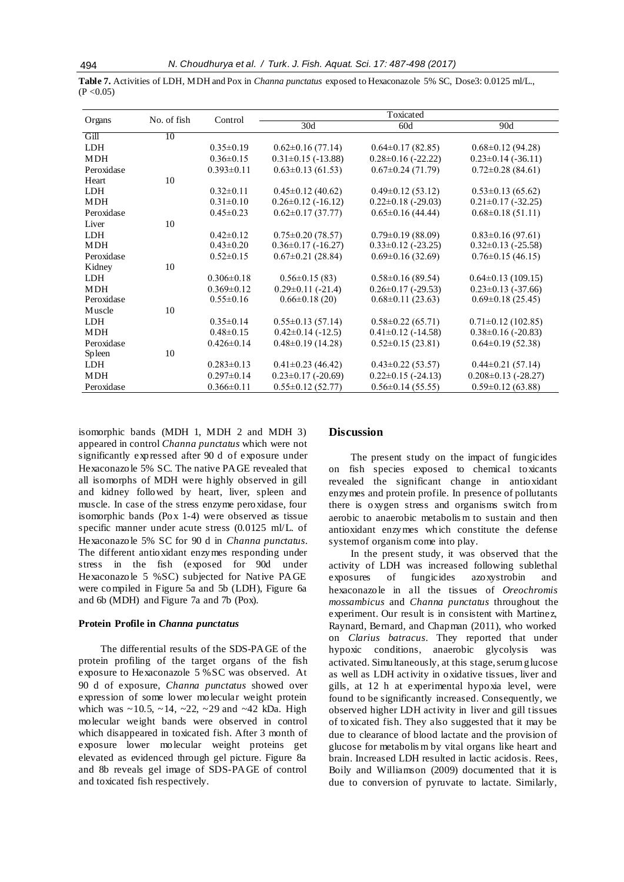**Table 7.** Activities of LDH, MDH and Pox in *Channa punctatus* exposed to Hexaconazole 5% SC, Dose3: 0.0125 ml/L.,  $(P < 0.05)$ 

|            | No. of fish | Control          | Toxicated                |                          |                           |
|------------|-------------|------------------|--------------------------|--------------------------|---------------------------|
| Organs     |             |                  | 30d                      | 60d                      | 90d                       |
| Gill       | 10          |                  |                          |                          |                           |
| <b>LDH</b> |             | $0.35 \pm 0.19$  | $0.62 \pm 0.16$ (77.14)  | $0.64 \pm 0.17$ (82.85)  | $0.68 \pm 0.12$ (94.28)   |
| <b>MDH</b> |             | $0.36 \pm 0.15$  | $0.31 \pm 0.15$ (-13.88) | $0.28 \pm 0.16$ (-22.22) | $0.23 \pm 0.14$ (-36.11)  |
| Peroxidase |             | $0.393 \pm 0.11$ | $0.63 \pm 0.13$ (61.53)  | $0.67 \pm 0.24$ (71.79)  | $0.72 \pm 0.28$ (84.61)   |
| Heart      | 10          |                  |                          |                          |                           |
| <b>LDH</b> |             | $0.32 \pm 0.11$  | $0.45 \pm 0.12$ (40.62)  | $0.49\pm0.12(53.12)$     | $0.53 \pm 0.13$ (65.62)   |
| <b>MDH</b> |             | $0.31 \pm 0.10$  | $0.26 \pm 0.12$ (-16.12) | $0.22 \pm 0.18$ (-29.03) | $0.21 \pm 0.17$ (-32.25)  |
| Peroxidase |             | $0.45 \pm 0.23$  | $0.62 \pm 0.17$ (37.77)  | $0.65 \pm 0.16$ (44.44)  | $0.68 \pm 0.18(51.11)$    |
| Liver      | 10          |                  |                          |                          |                           |
| <b>LDH</b> |             | $0.42\pm0.12$    | $0.75 \pm 0.20$ (78.57)  | $0.79 \pm 0.19$ (88.09)  | $0.83 \pm 0.16$ (97.61)   |
| <b>MDH</b> |             | $0.43 \pm 0.20$  | $0.36 \pm 0.17$ (-16.27) | $0.33 \pm 0.12$ (-23.25) | $0.32 \pm 0.13$ (-25.58)  |
| Peroxidase |             | $0.52 \pm 0.15$  | $0.67 \pm 0.21$ (28.84)  | $0.69 \pm 0.16$ (32.69)  | $0.76 \pm 0.15$ (46.15)   |
| Kidney     | 10          |                  |                          |                          |                           |
| <b>LDH</b> |             | $0.306 \pm 0.18$ | $0.56\pm0.15(83)$        | $0.58 \pm 0.16$ (89.54)  | $0.64 \pm 0.13$ (109.15)  |
| <b>MDH</b> |             | $0.369 \pm 0.12$ | $0.29 \pm 0.11$ (-21.4)  | $0.26 \pm 0.17$ (-29.53) | $0.23 \pm 0.13$ (-37.66)  |
| Peroxidase |             | $0.55 \pm 0.16$  | $0.66 \pm 0.18(20)$      | $0.68 \pm 0.11$ (23.63)  | $0.69 \pm 0.18$ (25.45)   |
| Muscle     | 10          |                  |                          |                          |                           |
| LDH.       |             | $0.35 \pm 0.14$  | $0.55\pm0.13(57.14)$     | $0.58 \pm 0.22$ (65.71)  | $0.71 \pm 0.12$ (102.85)  |
| <b>MDH</b> |             | $0.48 \pm 0.15$  | $0.42\pm0.14$ (-12.5)    | $0.41 \pm 0.12$ (-14.58) | $0.38\pm0.16$ (-20.83)    |
| Peroxidase |             | $0.426 \pm 0.14$ | $0.48\pm0.19$ (14.28)    | $0.52 \pm 0.15(23.81)$   | $0.64\pm0.19(52.38)$      |
| Spleen     | 10          |                  |                          |                          |                           |
| <b>LDH</b> |             | $0.283 \pm 0.13$ | $0.41 \pm 0.23$ (46.42)  | $0.43 \pm 0.22$ (53.57)  | $0.44\pm0.21(57.14)$      |
| <b>MDH</b> |             | $0.297 \pm 0.14$ | $0.23 \pm 0.17$ (-20.69) | $0.22 \pm 0.15$ (-24.13) | $0.208 \pm 0.13$ (-28.27) |
| Peroxidase |             | $0.366 \pm 0.11$ | $0.55 \pm 0.12$ (52.77)  | $0.56 \pm 0.14$ (55.55)  | $0.59 \pm 0.12$ (63.88)   |

isomorphic bands (MDH 1, MDH 2 and MDH 3) appeared in control *Channa punctatus* which were not significantly expressed after 90 d of exposure under Hexaconazole 5% SC. The native PAGE revealed that all isomorphs of MDH were highly observed in gill and kidney followed by heart, liver, spleen and muscle. In case of the stress enzyme peroxidase, four isomorphic bands (Pox 1-4) were observed as tissue specific manner under acute stress (0.0125 ml/L. of Hexaconazole 5% SC for 90 d in *Channa punctatus*. The different antioxidant enzymes responding under stress in the fish (exposed for 90d under Hexaconazole 5 %SC) subjected for Native PAGE were compiled in Figure 5a and 5b (LDH), Figure 6a and 6b (MDH) and Figure 7a and 7b (Pox).

## **Protein Profile in** *Channa punctatus*

The differential results of the SDS-PAGE of the protein profiling of the target organs of the fish exposure to Hexaconazole 5 %SC was observed. At 90 d of exposure, *Channa punctatus* showed over expression of some lower molecular weight protein which was  $\sim$ 10.5,  $\sim$ 14,  $\sim$ 22,  $\sim$ 29 and  $\sim$ 42 kDa. High molecular weight bands were observed in control which disappeared in toxicated fish. After 3 month of exposure lower molecular weight proteins get elevated as evidenced through gel picture. Figure 8a and 8b reveals gel image of SDS-PAGE of control and toxicated fish respectively.

## **Discussion**

The present study on the impact of fungicides on fish species exposed to chemical toxicants revealed the significant change in antioxidant enzymes and protein profile. In presence of pollutants there is oxygen stress and organisms switch from aerobic to anaerobic metabolis m to sustain and then antioxidant enzymes which constitute the defense system of organism come into play.

In the present study, it was observed that the activity of LDH was increased following sublethal exposures of fungicides azoxystrobin and hexaconazole in all the tissues of *Oreochromis mossambicus* and *Channa punctatus* throughout the experiment. Our result is in consistent with Martinez, Raynard, Bernard, and Chapman (2011), who worked on *Clarius batracus*. They reported that under hypoxic conditions, anaerobic glycolysis was activated. Simultaneously, at this stage, serum glucose as well as LDH activity in oxidative tissues, liver and gills, at 12 h at experimental hypoxia level, were found to be significantly increased. Consequently, we observed higher LDH activity in liver and gill tissues of toxicated fish. They also suggested that it may be due to clearance of blood lactate and the provision of glucose for metabolis m by vital organs like heart and brain. Increased LDH resulted in lactic acidosis. Rees, Boily and Williamson (2009) documented that it is due to conversion of pyruvate to lactate. Similarly,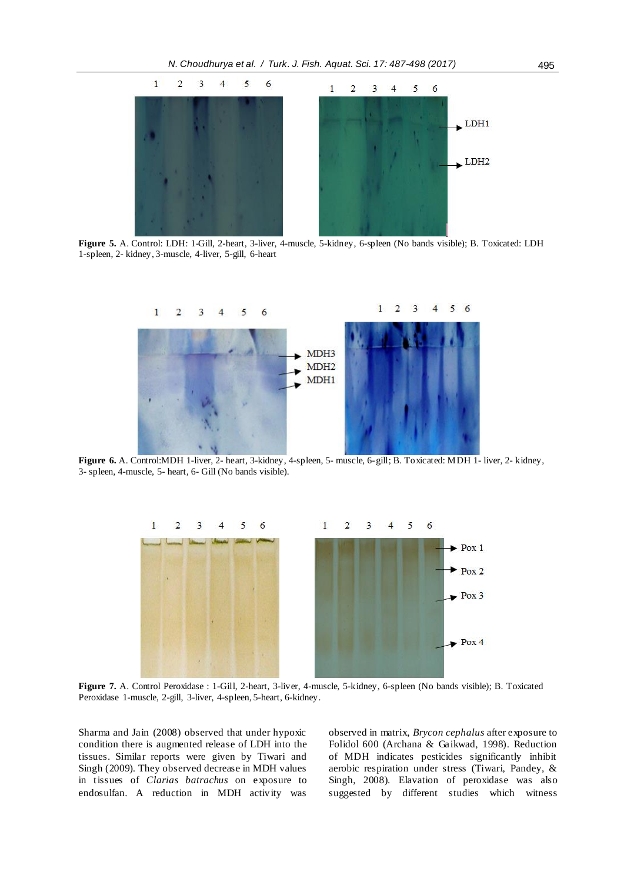

 **Figure 5.** A. Control: LDH: 1-Gill, 2-heart, 3-liver, 4-muscle, 5-kidney, 6-spleen (No bands visible); B. Toxicated: LDH 1-spleen, 2- kidney, 3-muscle, 4-liver, 5-gill, 6-heart



**Figure 6.** A. Control:MDH 1-liver, 2- heart, 3-kidney, 4-spleen, 5- muscle, 6-gill; B. Toxicated: MDH 1- liver, 2- kidney, 3- spleen, 4-muscle, 5- heart, 6- Gill (No bands visible).



 **Figure 7.** A. Control Peroxidase : 1-Gill, 2-heart, 3-liver, 4-muscle, 5-kidney, 6-spleen (No bands visible); B. Toxicated Peroxidase 1-muscle, 2-gill, 3-liver, 4-spleen, 5-heart, 6-kidney.

Sharma and Jain (2008) observed that under hypoxic condition there is augmented release of LDH into the tissues. Similar reports were given by Tiwari and Singh (2009). They observed decrease in MDH values in tissues of *Clarias batrachus* on exposure to endosulfan. A reduction in MDH activity was

observed in matrix, *Brycon cephalus* after exposure to Folidol 600 (Archana & Gaikwad, 1998). Reduction of MDH indicates pesticides significantly inhibit aerobic respiration under stress (Tiwari, Pandey, & Singh, 2008). Elavation of peroxidase was also suggested by different studies which witness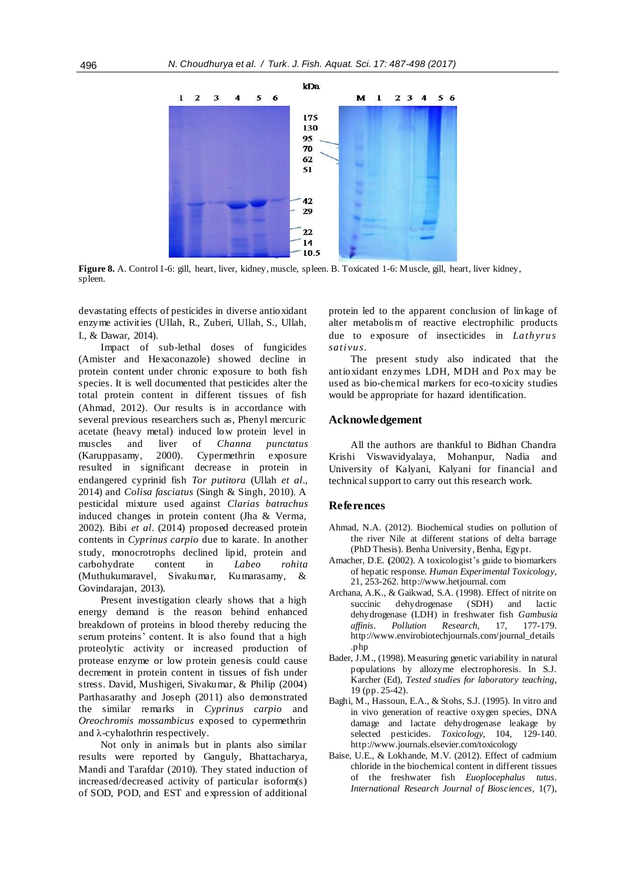

**Figure 8.** A. Control 1-6: gill, heart, liver, kidney, muscle, spleen. B. Toxicated 1-6: Muscle, gill, heart, liver kidney, spleen.

devastating effects of pesticides in diverse antioxidant enzyme activities (Ullah, R., Zuberi, Ullah, S., Ullah, I., & Dawar, 2014).

Impact of sub-lethal doses of fungicides (Amister and Hexaconazole) showed decline in protein content under chronic exposure to both fish species. It is well documented that pesticides alter the total protein content in different tissues of fish (Ahmad, 2012). Our results is in accordance with several previous researchers such as, Phenyl mercuric acetate (heavy metal) induced low protein level in muscles and liver of *Channa punctatus*  (Karuppasamy, 2000). Cypermethrin exposure resulted in significant decrease in protein in endangered cyprinid fish *Tor putitora* (Ullah *et al*., 2014) and *Colisa fasciatus* (Singh & Singh, 2010). A pesticidal mixture used against *Clarias batrachus*  induced changes in protein content (Jha & Verma, 2002). Bibi *et al*. (2014) proposed decreased protein contents in *Cyprinus carpio* due to karate. In another study, monocrotrophs declined lipid, protein and carbohydrate content in *Labeo rohita*  (Muthukumaravel, Sivakumar, Kumarasamy, & Govindarajan, 2013).

Present investigation clearly shows that a high energy demand is the reason behind enhanced breakdown of proteins in blood thereby reducing the serum proteins' content. It is also found that a high proteolytic activity or increased production of protease enzyme or low protein genesis could cause decrement in protein content in tissues of fish under stress. David, Mushigeri, Sivakumar, & Philip (2004) Parthasarathy and Joseph (2011) also demonstrated the similar remarks in *Cyprinus carpio* and *Oreochromis mossambicus* exposed to cypermethrin and λ-cyhalothrin respectively.

Not only in animals but in plants also similar results were reported by Ganguly, Bhattacharya, Mandi and Tarafdar (2010). They stated induction of increased/decreased activity of particular isoform(s) of SOD, POD, and EST and expression of additional

protein led to the apparent conclusion of linkage of alter metabolis m of reactive electrophilic products due to exposure of insecticides in *Lathyrus sativus*.

The present study also indicated that the antioxidant enzymes LDH, MDH and Pox may be used as bio-chemical markers for eco-toxicity studies would be appropriate for hazard identification.

## **Acknowledgement**

All the authors are thankful to Bidhan Chandra Krishi Viswavidyalaya, Mohanpur, Nadia and University of Kalyani, Kalyani for financial and technical support to carry out this research work.

#### **References**

- Ahmad, N.A. (2012). Biochemical studies on pollution of the river Nile at different stations of delta barrage (PhD Thesis). Benha University, Benha, Egypt.
- Amacher, D.E. **(**2002). A toxicologist's guide to biomarkers of hepatic response. *Human Experimental Toxicology*, 21, 253-262. http://www.hetjournal. com
- Archana, A.K., & Gaikwad, S.A. (1998). Effect of nitrite on succinic dehydrogenase (SDH) and lactic dehydrogenase (LDH) in freshwater fish *Gambusia affinis*. *Pollution Research,* 17, 177-179. http://www.envirobiotechjournals.com/journal\_details .php
- Bader, J.M., (1998). Measuring genetic variability in natural populations by allozyme electrophoresis. In S.J. Karcher (Ed), *Tested studies for laboratory teaching*, 19 (pp. 25-42).
- Baghi, M., Hassoun, E.A., & Stohs, S.J. (1995). In vitro and in vivo generation of reactive oxygen species, DNA damage and lactate dehydrogenase leakage by selected pesticides. *Toxicology,* 104*,* 129-140. http://www.journals.elsevier.com/toxicology
- Baise, U.E., & Lokhande, M.V. (2012). Effect of cadmium chloride in the biochemical content in different tissues of the freshwater fish *Euoplocephalus tutus*. *International Research Journal of Biosciences,* 1(7),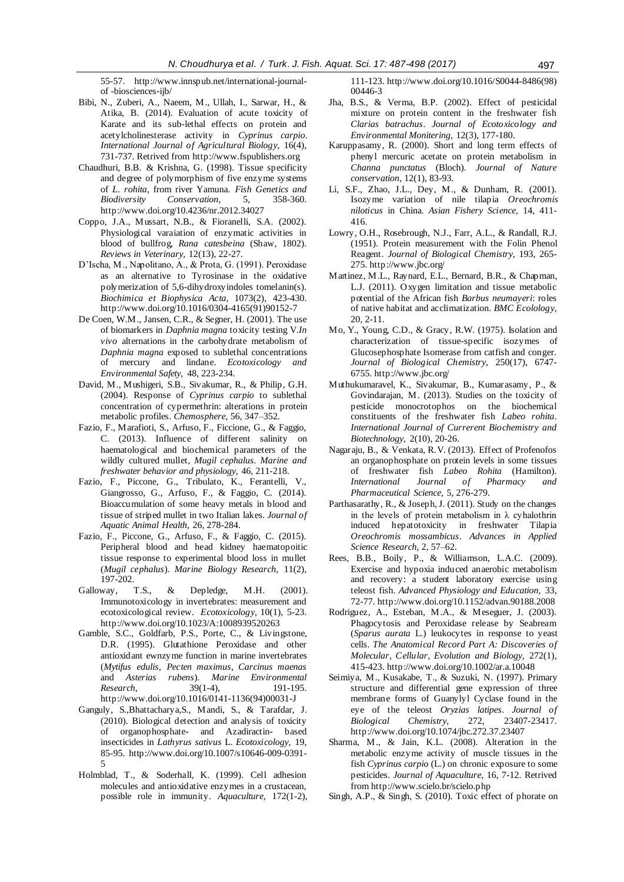55-57. http://www.innspub.net/international-journalof -biosciences-ijb/

- Bibi, N., Zuberi, A., Naeem, M., Ullah, I., Sarwar, H., & Atika, B. (2014). Evaluation of acute toxicity of Karate and its sub-lethal effects on protein and acetylcholinesterase activity in *Cyprinus carpio*. *International Journal of Agricultural Biology,* 16(4), 731-737. Retrived from http://www.fspublishers.org
- Chaudhuri, B.B. & Krishna, G. (1998). Tissue specificity and degree of polymorphism of five enzyme systems of *L. rohita*, from river Yamuna. *Fish Genetics and*   $Conservation,$ [http://www.](http://www/)doi.org/10.4236/nr.2012.34027
- Coppo, J.A., Mussart, N.B., & Fioranelli, S.A. (2002). Physiological varaiation of enzymatic activities in blood of bullfrog, *Rana catesbeina* (Shaw, 1802). *Reviews in Veterinary,* 12(13), 22-27.
- D'Ischa, M., Napolitano, A., & Prota, G. (1991). Peroxidase as an alternative to Tyrosinase in the oxidative polymerization of 5,6-dihydroxyindoles tomelanin(s). *Biochimica et Biophysica Acta,* 1073(2), 423-430. [http://www.](http://www/)doi.org/10.1016/0304-4165(91)90152-7
- De Coen, W.M., Jansen, C.R., & Segner, H. (2001). The use of biomarkers in *Daphnia magna* toxicity testing V.*In vivo* alternations in the carbohydrate metabolism of *Daphnia magna* exposed to sublethal concentrations of mercury and lindane. *Ecotoxicology and Environmental Safety,* 48, 223-234.
- David, M., Mushigeri, S.B., Sivakumar, R., & Philip, G.H. (2004). Response of *Cyprinus carpio* to sublethal concentration of cypermethrin: alterations in protein metabolic profiles. *Chemosphere,* 56, 347–352.
- Fazio, F., Marafioti, S., Arfuso, F., Ficcione, G., & Faggio, C. (2013). Influence of different salinity on haematological and biochemical parameters of the wildly cultured mullet, *Mugil cephalus. Marine and freshwater behavior and physiology,* 46, 211-218.
- Fazio, F., Piccone, G., Tribulato, K., Ferantelli, V., Giangrosso, G., Arfuso, F., & Faggio, C. (2014). Bioaccumulation of some heavy metals in blood and tissue of striped mullet in two Italian lakes. *Journal of Aquatic Animal Health,* 26, 278-284.
- Fazio, F., Piccone, G., Arfuso, F., & Faggio, C. (2015). Peripheral blood and head kidney haematopoitic tissue response to experimental blood loss in mullet (*Mugil cephalus*). *Marine Biology Research,* 11(2), 197-202.
- Galloway, T.S., & Depledge, M.H. (2001). Immunotoxicology in invertebrates: measurement and ecotoxicological review. *Ecotoxicology,* 10(1), 5-23. [http://www.](http://www/)doi.org/10.1023/A:1008939520263
- Gamble, S.C., Goldfarb, P.S., Porte, C., & Livingstone, D.R. (1995). Glutathione Peroxidase and other antioxidant ewnzyme function in marine invertebrates (*Mytifus edulis*, *Pecten maximus*, *Carcinus maenas*  and *Asterias rubens*). *Marine Environmental Research,* 39(1-4), 191-195. [http://www.](http://www/)doi.org/10.1016/0141-1136(94)00031-J
- Ganguly, S.,Bhattacharya,S., Mandi, S., & Tarafdar, J. (2010). Biological detection and analysis of toxicity of organophosphate- and Azadiractin- based insecticides in *Lathyrus sativus* L. *Ecotoxicology,* 19, 85-95. [http://www.](http://www/)doi.org/10.1007/s10646-009-0391- 5
- Holmblad, T., & Soderhall, K. (1999). Cell adhesion molecules and antioxidative enzymes in a crustacean, possible role in immunity. *Aquaculture,* 172(1-2),

111-123[. http://www.](http://www/)doi.org/10.1016/S0044-8486(98) 00446-3

- Jha, B.S., & Verma, B.P. (2002). Effect of pesticidal mixture on protein content in the freshwater fish *Clarias batrachus*. *Journal of Ecotoxicology and Environmental Monitering,* 12(3), 177-180.
- Karuppasamy, R. (2000). Short and long term effects of phenyl mercuric acetate on protein metabolism in *Channa punctatus* (Bloch). *Journal of Nature conservation*, 12(1), 83-93.
- Li, S.F., Zhao, J.L., Dey, M., & Dunham, R. (2001). Isozyme variation of nile tilapia *Oreochromis niloticus* in China. *Asian Fishery Science,* 14, 411- 416.
- Lowry, O.H., Rosebrough, N.J., Farr, A.L., & Randall, R.J. (1951). Protein measurement with the Folin Phenol Reagent. *Journal of Biological Chemistry,* 193, 265- 275. http://www.jbc.org/
- Martinez, M.L., Raynard, E.L., Bernard, B.R., & Chapman, L.J. (2011). Oxygen limitation and tissue metabolic potential of the African fish *Barbus neumayeri*: roles of native habitat and acclimatization. *BMC Ecolology,*   $20, 2-11$ .
- Mo, Y., Young, C.D., & Gracy, R.W. (1975). Isolation and characterization of tissue-specific isozymes of Glucosephosphate Isomerase from catfish and conger. *Journal of Biological Chemistry,* 250(17), 6747- 6755. http://www.jbc.org/
- Muthukumaravel, K., Sivakumar, B., Kumarasamy, P., & Govindarajan, M. (2013). Studies on the toxicity of pesticide monocrotophos on the biochemical constituents of the freshwater fish *Labeo rohita*. *International Journal of Currerent Biochemistry and Biotechnology,* 2(10), 20-26.
- Nagaraju, B., & Venkata, R.V. (2013). Effect of Profenofos an organophosphate on protein levels in some tissues of freshwater fish *Labeo Rohita* (Hamilton). *International Journal of Pharmacy and Pharmaceutical Science,* 5, 276-279.
- Parthasarathy, R., & Joseph, J. (2011). Study on the changes in the levels of protein metabolism in  $\lambda$  cyhalothrin induced hepatotoxicity in freshwater Tilapia *Oreochromis mossambicus*. *Advances in Applied Science Research,* 2, 57–62.
- Rees, B.B., Boily, P., & Williamson, L.A.C. (2009). Exercise and hypoxia induced anaerobic metabolism and recovery: a student laboratory exercise using teleost fish. *Advanced Physiology and Education,* 33, 72-77[. http://www](http://www/).doi.org/10.1152/advan.90188.2008
- Rodriguez, A., Esteban, M.A., & Meseguer, J. (2003). Phagocytosis and Peroxidase release by Seabream (*Sparus aurata* L.) leukocytes in response to yeast cells. *The Anatomical Record Part A: Discoveries of Molecular, Cellular, Evolution and Biology,* 272(1), 415-423[. http://www](http://www/).doi.org/10.1002/ar.a.10048
- Seimiya, M., Kusakabe, T., & Suzuki, N. (1997). Primary structure and differential gene expression of three membrane forms of Guanylyl Cyclase found in the eye of the teleost *Oryzias latipes*. *Journal of Biological Chemistry,* 272, 23407-23417. [http://www.](http://www/)doi.org/10.1074/jbc.272.37.23407
- Sharma, M., & Jain, K.L. (2008). Alteration in the metabolic enzyme activity of muscle tissues in the fish *Cyprinus carpio* (L.) on chronic exposure to some pesticides. *Journal of Aquaculture,* 16, 7-12. Retrived from http://www.scielo.br/scielo.php
- Singh, A.P., & Singh, S. (2010). Toxic effect of phorate on